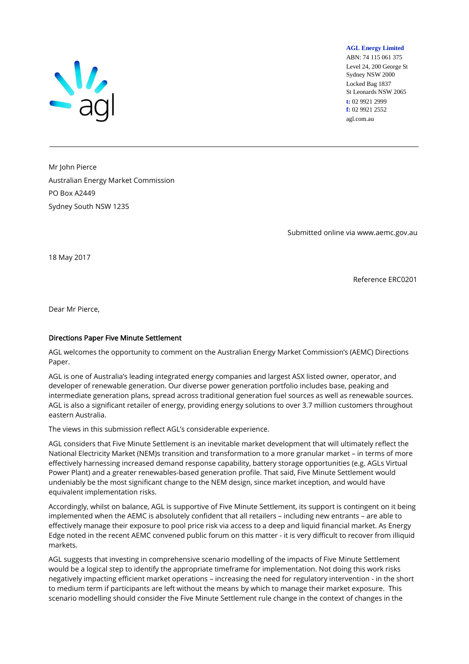

#### **AGL Energy Limited**

ABN: 74 115 061 375 Level 24, 200 George St Sydney NSW 2000 Locked Bag 1837 St Leonards NSW 2065 **t:** 02 9921 2999 **f:** 02 9921 2552 agl.com.au

Mr John Pierce Australian Energy Market Commission PO Box A2449 Sydney South NSW 1235

Submitted online via [www.aemc.gov.au](http://www.aemc.gov.au/)

18 May 2017

Reference ERC0201

Dear Mr Pierce,

#### Directions Paper Five Minute Settlement

AGL welcomes the opportunity to comment on the Australian Energy Market Commission's (AEMC) Directions Paper.

AGL is one of Australia's leading integrated energy companies and largest ASX listed owner, operator, and developer of renewable generation. Our diverse power generation portfolio includes base, peaking and intermediate generation plans, spread across traditional generation fuel sources as well as renewable sources. AGL is also a significant retailer of energy, providing energy solutions to over 3.7 million customers throughout eastern Australia.

The views in this submission reflect AGL's considerable experience.

AGL considers that Five Minute Settlement is an inevitable market development that will ultimately reflect the National Electricity Market (NEM)s transition and transformation to a more granular market – in terms of more effectively harnessing increased demand response capability, battery storage opportunities (e.g. AGLs Virtual Power Plant) and a greater renewables-based generation profile. That said, Five Minute Settlement would undeniably be the most significant change to the NEM design, since market inception, and would have equivalent implementation risks.

Accordingly, whilst on balance, AGL is supportive of Five Minute Settlement, its support is contingent on it being implemented when the AEMC is absolutely confident that all retailers – including new entrants – are able to effectively manage their exposure to pool price risk via access to a deep and liquid financial market. As Energy Edge noted in the recent AEMC convened public forum on this matter - it is very difficult to recover from illiquid markets.

AGL suggests that investing in comprehensive scenario modelling of the impacts of Five Minute Settlement would be a logical step to identify the appropriate timeframe for implementation. Not doing this work risks negatively impacting efficient market operations – increasing the need for regulatory intervention - in the short to medium term if participants are left without the means by which to manage their market exposure. This scenario modelling should consider the Five Minute Settlement rule change in the context of changes in the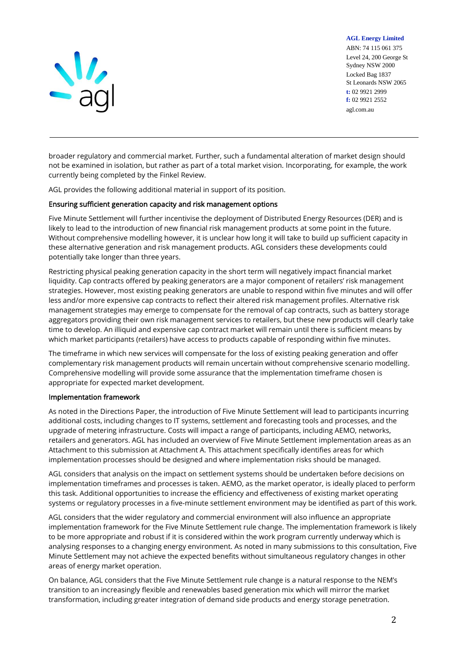

**AGL Energy Limited** ABN: 74 115 061 375 Level 24, 200 George St Sydney NSW 2000 Locked Bag 1837 St Leonards NSW 2065 **t:** 02 9921 2999 **f:** 02 9921 2552

agl.com.au

broader regulatory and commercial market. Further, such a fundamental alteration of market design should not be examined in isolation, but rather as part of a total market vision. Incorporating, for example, the work currently being completed by the Finkel Review.

AGL provides the following additional material in support of its position.

## Ensuring sufficient generation capacity and risk management options

Five Minute Settlement will further incentivise the deployment of Distributed Energy Resources (DER) and is likely to lead to the introduction of new financial risk management products at some point in the future. Without comprehensive modelling however, it is unclear how long it will take to build up sufficient capacity in these alternative generation and risk management products. AGL considers these developments could potentially take longer than three years.

Restricting physical peaking generation capacity in the short term will negatively impact financial market liquidity. Cap contracts offered by peaking generators are a major component of retailers' risk management strategies. However, most existing peaking generators are unable to respond within five minutes and will offer less and/or more expensive cap contracts to reflect their altered risk management profiles. Alternative risk management strategies may emerge to compensate for the removal of cap contracts, such as battery storage aggregators providing their own risk management services to retailers, but these new products will clearly take time to develop. An illiquid and expensive cap contract market will remain until there is sufficient means by which market participants (retailers) have access to products capable of responding within five minutes.

The timeframe in which new services will compensate for the loss of existing peaking generation and offer complementary risk management products will remain uncertain without comprehensive scenario modelling. Comprehensive modelling will provide some assurance that the implementation timeframe chosen is appropriate for expected market development.

## Implementation framework

As noted in the Directions Paper, the introduction of Five Minute Settlement will lead to participants incurring additional costs, including changes to IT systems, settlement and forecasting tools and processes, and the upgrade of metering infrastructure. Costs will impact a range of participants, including AEMO, networks, retailers and generators. AGL has included an overview of Five Minute Settlement implementation areas as an Attachment to this submission at Attachment A. This attachment specifically identifies areas for which implementation processes should be designed and where implementation risks should be managed.

AGL considers that analysis on the impact on settlement systems should be undertaken before decisions on implementation timeframes and processes is taken. AEMO, as the market operator, is ideally placed to perform this task. Additional opportunities to increase the efficiency and effectiveness of existing market operating systems or regulatory processes in a five-minute settlement environment may be identified as part of this work.

AGL considers that the wider regulatory and commercial environment will also influence an appropriate implementation framework for the Five Minute Settlement rule change. The implementation framework is likely to be more appropriate and robust if it is considered within the work program currently underway which is analysing responses to a changing energy environment. As noted in many submissions to this consultation, Five Minute Settlement may not achieve the expected benefits without simultaneous regulatory changes in other areas of energy market operation.

On balance, AGL considers that the Five Minute Settlement rule change is a natural response to the NEM's transition to an increasingly flexible and renewables based generation mix which will mirror the market transformation, including greater integration of demand side products and energy storage penetration.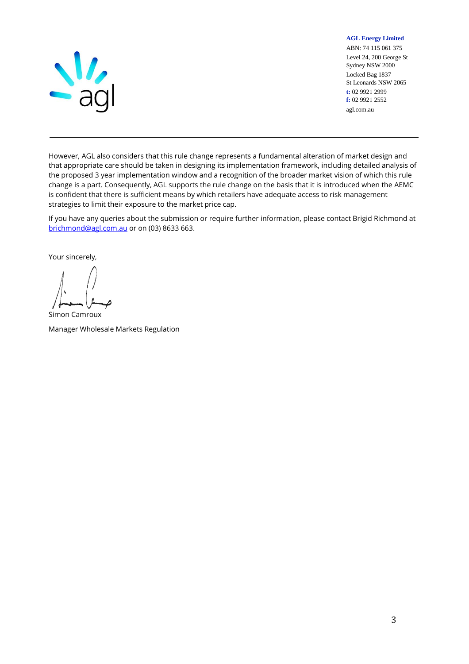

**AGL Energy Limited**

ABN: 74 115 061 375 Level 24, 200 George St Sydney NSW 2000 Locked Bag 1837 St Leonards NSW 2065 **t:** 02 9921 2999 **f:** 02 9921 2552 agl.com.au

However, AGL also considers that this rule change represents a fundamental alteration of market design and that appropriate care should be taken in designing its implementation framework, including detailed analysis of the proposed 3 year implementation window and a recognition of the broader market vision of which this rule change is a part. Consequently, AGL supports the rule change on the basis that it is introduced when the AEMC is confident that there is sufficient means by which retailers have adequate access to risk management strategies to limit their exposure to the market price cap.

If you have any queries about the submission or require further information, please contact Brigid Richmond at [brichmond@agl.com.au](mailto:brichmond@agl.com.au) or on (03) 8633 663.

Your sincerely,

Simon Camroux

Manager Wholesale Markets Regulation